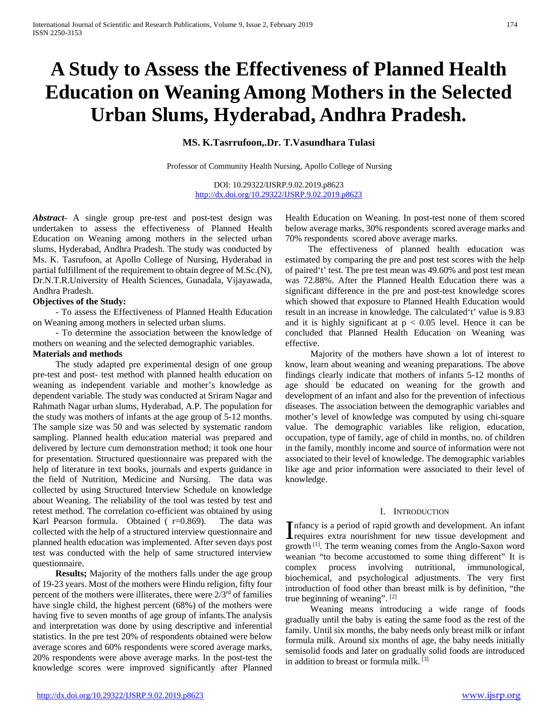# **A Study to Assess the Effectiveness of Planned Health Education on Weaning Among Mothers in the Selected Urban Slums, Hyderabad, Andhra Pradesh.**

# **MS. K.Tasrrufoon,.Dr. T.Vasundhara Tulasi**

Professor of Community Health Nursing, Apollo College of Nursing

DOI: 10.29322/IJSRP.9.02.2019.p8623 <http://dx.doi.org/10.29322/IJSRP.9.02.2019.p8623>

*Abstract***-** A single group pre-test and post-test design was undertaken to assess the effectiveness of Planned Health Education on Weaning among mothers in the selected urban slums, Hyderabad, Andhra Pradesh. The study was conducted by Ms. K. Tasrufoon, at Apollo College of Nursing, Hyderabad in partial fulfillment of the requirement to obtain degree of M.Sc.(N), Dr.N.T.R.University of Health Sciences, Gunadala, Vijayawada, Andhra Pradesh.

#### **Objectives of the Study:**

 - To assess the Effectiveness of Planned Health Education on Weaning among mothers in selected urban slums.

 - To determine the association between the knowledge of mothers on weaning and the selected demographic variables.

# **Materials and methods**

 The study adapted pre experimental design of one group pre-test and post- test method with planned health education on weaning as independent variable and mother's knowledge as dependent variable. The study was conducted at Sriram Nagar and Rahmath Nagar urban slums, Hyderabad, A.P. The population for the study was mothers of infants at the age group of 5-12 months. The sample size was 50 and was selected by systematic random sampling. Planned health education material was prepared and delivered by lecture cum demonstration method; it took one hour for presentation. Structured questionnaire was prepared with the help of literature in text books, journals and experts guidance in the field of Nutrition, Medicine and Nursing. The data was collected by using Structured Interview Schedule on knowledge about Weaning. The reliability of the tool was tested by test and retest method. The correlation co-efficient was obtained by using Karl Pearson formula. Obtained  $(r=0.869)$ . The data was collected with the help of a structured interview questionnaire and planned health education was implemented. After seven days post test was conducted with the help of same structured interview questionnaire.

 **Results;** Majority of the mothers falls under the age group of 19-23 years. Most of the mothers were Hindu religion, fifty four percent of the mothers were illiterates, there were  $2/3<sup>rd</sup>$  of families have single child, the highest percent (68%) of the mothers were having five to seven months of age group of infants.The analysis and interpretation was done by using descriptive and inferential statistics. In the pre test 20% of respondents obtained were below average scores and 60% respondents were scored average marks, 20% respondents were above average marks. In the post-test the knowledge scores were improved significantly after Planned

Health Education on Weaning. In post-test none of them scored below average marks, 30% respondents scored average marks and 70% respondents scored above average marks.

 The effectiveness of planned health education was estimated by comparing the pre and post test scores with the help of paired't' test. The pre test mean was 49.60% and post test mean was 72.88%. After the Planned Health Education there was a significant difference in the pre and post-test knowledge scores which showed that exposure to Planned Health Education would result in an increase in knowledge. The calculated't' value is 9.83 and it is highly significant at  $p < 0.05$  level. Hence it can be concluded that Planned Health Education on Weaning was effective.

 Majority of the mothers have shown a lot of interest to know, learn about weaning and weaning preparations. The above findings clearly indicate that mothers of infants 5-12 months of age should be educated on weaning for the growth and development of an infant and also for the prevention of infectious diseases. The association between the demographic variables and mother's level of knowledge was computed by using chi-square value. The demographic variables like religion, education, occupation, type of family, age of child in months, no. of children in the family, monthly income and source of information were not associated to their level of knowledge. The demographic variables like age and prior information were associated to their level of knowledge.

#### I. INTRODUCTION

Infancy is a period of rapid growth and development. An infant<br>requires extra nourishment for new tissue development and<br> $\frac{1}{2}$ requires extra nourishment for new tissue development and growth [1]. The term weaning comes from the Anglo-Saxon word weanian "to become accustomed to some thing different". It is complex process involving nutritional, immunological, biochemical, and psychological adjustments. The very first introduction of food other than breast milk is by definition, "the true beginning of weaning". [2]

 Weaning means introducing a wide range of foods gradually until the baby is eating the same food as the rest of the family. Until six months, the baby needs only breast milk or infant formula milk. Around six months of age, the baby needs initially semisolid foods and later on gradually solid foods are introduced in addition to breast or formula milk.<sup>[3]</sup>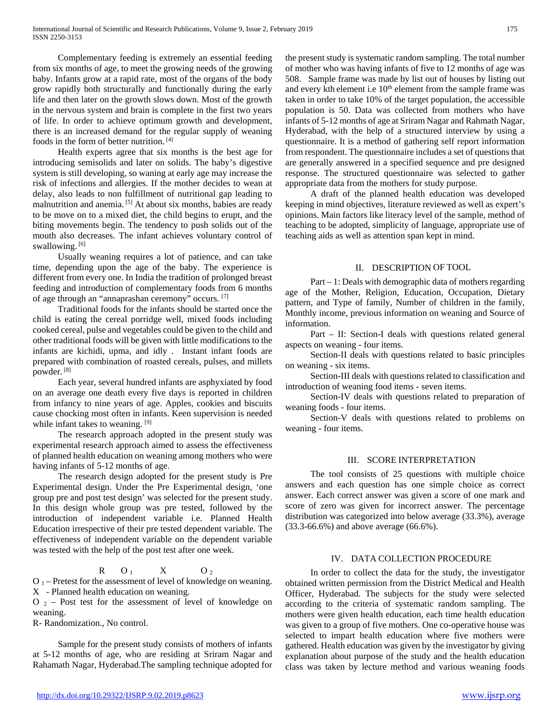Complementary feeding is extremely an essential feeding from six months of age, to meet the growing needs of the growing baby. Infants grow at a rapid rate, most of the organs of the body grow rapidly both structurally and functionally during the early life and then later on the growth slows down. Most of the growth in the nervous system and brain is complete in the first two years of life. In order to achieve optimum growth and development, there is an increased demand for the regular supply of weaning foods in the form of better nutrition. [4]

 Health experts agree that six months is the best age for introducing semisolids and later on solids. The baby's digestive system is still developing, so waning at early age may increase the risk of infections and allergies. If the mother decides to wean at delay, also leads to non fulfillment of nutritional gap leading to malnutrition and anemia. [5] At about six months, babies are ready to be move on to a mixed diet, the child begins to erupt, and the biting movements begin. The tendency to push solids out of the mouth also decreases. The infant achieves voluntary control of swallowing.<sup>[6]</sup>

 Usually weaning requires a lot of patience, and can take time, depending upon the age of the baby. The experience is different from every one. In India the tradition of prolonged breast feeding and introduction of complementary foods from 6 months of age through an "annaprashan ceremony" occurs. [7]

 Traditional foods for the infants should be started once the child is eating the cereal porridge well, mixed foods including cooked cereal, pulse and vegetables could be given to the child and other traditional foods will be given with little modifications to the infants are kichidi, upma, and idly . Instant infant foods are prepared with combination of roasted cereals, pulses, and millets powder. [8]

 Each year, several hundred infants are asphyxiated by food on an average one death every five days is reported in children from infancy to nine years of age. Apples, cookies and biscuits cause chocking most often in infants. Keen supervision is needed while infant takes to weaning. [9]

 The research approach adopted in the present study was experimental research approach aimed to assess the effectiveness of planned health education on weaning among mothers who were having infants of 5-12 months of age.

 The research design adopted for the present study is Pre Experimental design. Under the Pre Experimental design, 'one group pre and post test design' was selected for the present study. In this design whole group was pre tested, followed by the introduction of independent variable i.e. Planned Health Education irrespective of their pre tested dependent variable. The effectiveness of independent variable on the dependent variable was tested with the help of the post test after one week.

$$
R = O_1 \qquad X \qquad O_2
$$

 $O_1$  – Pretest for the assessment of level of knowledge on weaning. X - Planned health education on weaning.

 $O_2$  – Post test for the assessment of level of knowledge on weaning.

R- Randomization., No control.

 Sample for the present study consists of mothers of infants at 5-12 months of age, who are residing at Sriram Nagar and Rahamath Nagar, Hyderabad.The sampling technique adopted for

<http://dx.doi.org/10.29322/IJSRP.9.02.2019.p8623> [www.ijsrp.org](http://ijsrp.org/)

the present study is systematic random sampling. The total number of mother who was having infants of five to 12 months of age was 508. Sample frame was made by list out of houses by listing out and every kth element i.e 10<sup>th</sup> element from the sample frame was taken in order to take 10% of the target population, the accessible population is 50. Data was collected from mothers who have infants of 5-12 months of age at Sriram Nagar and Rahmath Nagar, Hyderabad, with the help of a structured interview by using a questionnaire. It is a method of gathering self report information from respondent. The questionnaire includes a set of questions that are generally answered in a specified sequence and pre designed response. The structured questionnaire was selected to gather appropriate data from the mothers for study purpose.

 A draft of the planned health education was developed keeping in mind objectives, literature reviewed as well as expert's opinions. Main factors like literacy level of the sample, method of teaching to be adopted, simplicity of language, appropriate use of teaching aids as well as attention span kept in mind.

## II. DESCRIPTION OF TOOL

 Part – 1: Deals with demographic data of mothers regarding age of the Mother, Religion, Education, Occupation, Dietary pattern, and Type of family, Number of children in the family, Monthly income, previous information on weaning and Source of information.

 Part – II: Section-I deals with questions related general aspects on weaning - four items.

 Section-II deals with questions related to basic principles on weaning - six items.

 Section-III deals with questions related to classification and introduction of weaning food items - seven items.

 Section-IV deals with questions related to preparation of weaning foods - four items.

 Section-V deals with questions related to problems on weaning - four items.

## III. SCORE INTERPRETATION

 The tool consists of 25 questions with multiple choice answers and each question has one simple choice as correct answer. Each correct answer was given a score of one mark and score of zero was given for incorrect answer. The percentage distribution was categorized into below average (33.3%), average (33.3-66.6%) and above average (66.6%).

# IV. DATA COLLECTION PROCEDURE

 In order to collect the data for the study, the investigator obtained written permission from the District Medical and Health Officer, Hyderabad. The subjects for the study were selected according to the criteria of systematic random sampling. The mothers were given health education, each time health education was given to a group of five mothers. One co-operative house was selected to impart health education where five mothers were gathered. Health education was given by the investigator by giving explanation about purpose of the study and the health education class was taken by lecture method and various weaning foods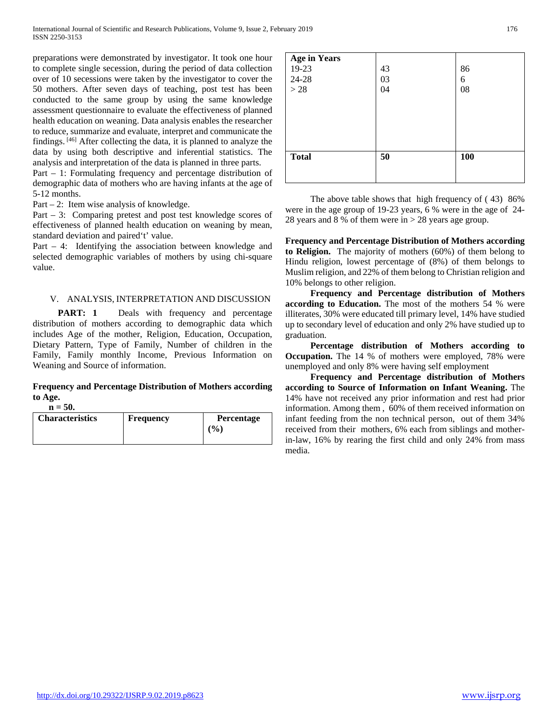preparations were demonstrated by investigator. It took one hour to complete single secession, during the period of data collection over of 10 secessions were taken by the investigator to cover the 50 mothers. After seven days of teaching, post test has been conducted to the same group by using the same knowledge assessment questionnaire to evaluate the effectiveness of planned health education on weaning. Data analysis enables the researcher to reduce, summarize and evaluate, interpret and communicate the findings. [46] After collecting the data, it is planned to analyze the data by using both descriptive and inferential statistics. The analysis and interpretation of the data is planned in three parts.

Part – 1: Formulating frequency and percentage distribution of demographic data of mothers who are having infants at the age of 5-12 months.

Part – 2: Item wise analysis of knowledge.

Part – 3: Comparing pretest and post test knowledge scores of effectiveness of planned health education on weaning by mean, standard deviation and paired't' value.

Part – 4: Identifying the association between knowledge and selected demographic variables of mothers by using chi-square value.

## V. ANALYSIS, INTERPRETATION AND DISCUSSION

**PART:** 1 Deals with frequency and percentage distribution of mothers according to demographic data which includes Age of the mother, Religion, Education, Occupation, Dietary Pattern, Type of Family, Number of children in the Family, Family monthly Income, Previous Information on Weaning and Source of information.

#### **Frequency and Percentage Distribution of Mothers according to Age.**  $n = 50$

| $\mathbf{u} - \mathbf{v}$ |                  |                   |
|---------------------------|------------------|-------------------|
| <b>Characteristics</b>    | <b>Frequency</b> | <b>Percentage</b> |
|                           |                  | (9/0)             |

| <b>Age in Years</b> |    |            |
|---------------------|----|------------|
| 19-23               | 43 | 86         |
| 24-28               | 03 | 6          |
| >28                 | 04 | 08         |
|                     |    |            |
|                     |    |            |
|                     |    |            |
|                     |    |            |
|                     |    |            |
| <b>Total</b>        | 50 | <b>100</b> |
|                     |    |            |
|                     |    |            |

 The above table shows that high frequency of ( 43) 86% were in the age group of 19-23 years, 6 % were in the age of 24- 28 years and 8 % of them were in > 28 years age group.

**Frequency and Percentage Distribution of Mothers according to Religion.** The majority of mothers (60%) of them belong to Hindu religion, lowest percentage of (8%) of them belongs to Muslim religion, and 22% of them belong to Christian religion and 10% belongs to other religion.

 **Frequency and Percentage distribution of Mothers according to Education.** The most of the mothers 54 % were illiterates, 30% were educated till primary level, 14% have studied up to secondary level of education and only 2% have studied up to graduation.

 **Percentage distribution of Mothers according to Occupation.** The 14 % of mothers were employed, 78% were unemployed and only 8% were having self employment

 **Frequency and Percentage distribution of Mothers according to Source of Information on Infant Weaning.** The 14% have not received any prior information and rest had prior information. Among them , 60% of them received information on infant feeding from the non technical person, out of them 34% received from their mothers, 6% each from siblings and motherin-law, 16% by rearing the first child and only 24% from mass media.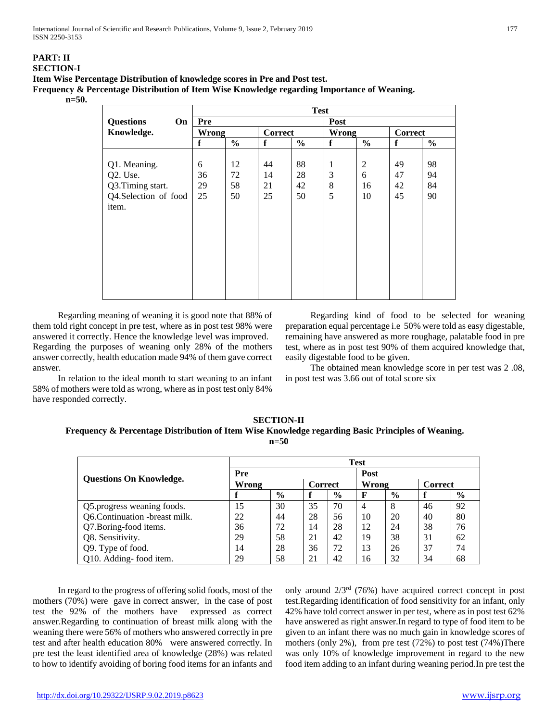## **PART: II SECTION-I Item Wise Percentage Distribution of knowledge scores in Pre and Post test. Frequency & Percentage Distribution of Item Wise Knowledge regarding Importance of Weaning. n=50.**

|                        |              |               |         | <b>Test</b>   |              |                |                |               |
|------------------------|--------------|---------------|---------|---------------|--------------|----------------|----------------|---------------|
| <b>Questions</b><br>On | <b>Pre</b>   |               |         |               | Post         |                |                |               |
| Knowledge.             | <b>Wrong</b> |               | Correct |               | <b>Wrong</b> |                | <b>Correct</b> |               |
|                        | f            | $\frac{0}{0}$ | f       | $\frac{0}{0}$ | f            | $\frac{6}{6}$  | f              | $\frac{0}{0}$ |
|                        |              |               |         |               |              |                |                |               |
| Q1. Meaning.           | 6            | 12            | 44      | 88            | 1            | $\overline{c}$ | 49             | 98            |
| Q2. Use.               | 36           | 72            | 14      | 28            | 3            | 6              | 47             | 94            |
| Q3.Timing start.       | 29           | 58            | 21      | 42            | 8            | 16             | 42             | 84            |
| Q4.Selection of food   | 25           | 50            | 25      | 50            | 5            | 10             | 45             | 90            |
| item.                  |              |               |         |               |              |                |                |               |
|                        |              |               |         |               |              |                |                |               |
|                        |              |               |         |               |              |                |                |               |
|                        |              |               |         |               |              |                |                |               |
|                        |              |               |         |               |              |                |                |               |
|                        |              |               |         |               |              |                |                |               |
|                        |              |               |         |               |              |                |                |               |
|                        |              |               |         |               |              |                |                |               |
|                        |              |               |         |               |              |                |                |               |
|                        |              |               |         |               |              |                |                |               |

 Regarding meaning of weaning it is good note that 88% of them told right concept in pre test, where as in post test 98% were answered it correctly. Hence the knowledge level was improved. Regarding the purposes of weaning only 28% of the mothers answer correctly, health education made 94% of them gave correct answer.

 In relation to the ideal month to start weaning to an infant 58% of mothers were told as wrong, where as in post test only 84% have responded correctly.

 Regarding kind of food to be selected for weaning preparation equal percentage i.e 50% were told as easy digestable, remaining have answered as more roughage, palatable food in pre test, where as in post test 90% of them acquired knowledge that, easily digestable food to be given.

 The obtained mean knowledge score in per test was 2 .08, in post test was 3.66 out of total score six

**SECTION-II Frequency & Percentage Distribution of Item Wise Knowledge regarding Basic Principles of Weaning. n=50**

|                                | <b>Test</b> |      |                |               |       |               |                |      |  |  |
|--------------------------------|-------------|------|----------------|---------------|-------|---------------|----------------|------|--|--|
|                                | Pre         |      |                |               |       | Post          |                |      |  |  |
| <b>Ouestions On Knowledge.</b> | Wrong       |      | <b>Correct</b> |               | Wrong |               | <b>Correct</b> |      |  |  |
|                                |             | $\%$ |                | $\frac{6}{9}$ | F     | $\frac{0}{0}$ |                | $\%$ |  |  |
| Q5. progress weaning foods.    | 15          | 30   | 35             | 70            | 4     | 8             | 46             | 92   |  |  |
| Q6.Continuation -breast milk.  | 22          | 44   | 28             | 56            | 10    | 20            | 40             | 80   |  |  |
| Q7.Boring-food items.          | 36          | 72   | 14             | 28            | 12    | 24            | 38             | 76   |  |  |
| Q8. Sensitivity.               | 29          | 58   | 21             | 42            | 19    | 38            | 31             | 62   |  |  |
| Q9. Type of food.              | 14          | 28   | 36             | 72            | 13    | 26            | 37             | 74   |  |  |
| Q10. Adding-food item.         | 29          | 58   | 21             | 42            | 16    | 32            | 34             | 68   |  |  |

 In regard to the progress of offering solid foods, most of the mothers (70%) were gave in correct answer, in the case of post test the 92% of the mothers have expressed as correct answer.Regarding to continuation of breast milk along with the weaning there were 56% of mothers who answered correctly in pre test and after health education 80% were answered correctly. In pre test the least identified area of knowledge (28%) was related to how to identify avoiding of boring food items for an infants and only around 2/3rd (76%) have acquired correct concept in post test.Regarding identification of food sensitivity for an infant, only 42% have told correct answer in per test, where as in post test 62% have answered as right answer.In regard to type of food item to be given to an infant there was no much gain in knowledge scores of mothers (only 2%), from pre test (72%) to post test (74%)There was only 10% of knowledge improvement in regard to the new food item adding to an infant during weaning period.In pre test the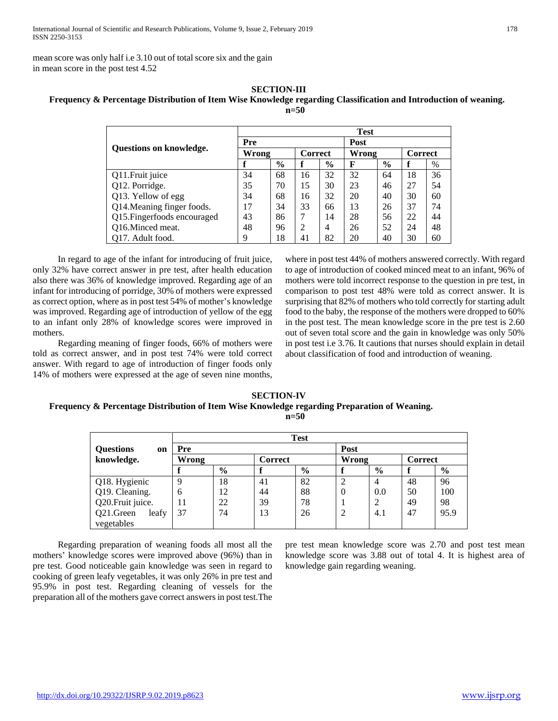mean score was only half i.e 3.10 out of total score six and the gain in mean score in the post test 4.52

## **SECTION-III Frequency & Percentage Distribution of Item Wise Knowledge regarding Classification and Introduction of weaning. n=50**

|                                |              |               |                |               | <b>Test</b> |               |                |      |
|--------------------------------|--------------|---------------|----------------|---------------|-------------|---------------|----------------|------|
| <b>Ouestions on knowledge.</b> | Pre          |               |                |               | Post        |               |                |      |
|                                | <b>Wrong</b> |               | <b>Correct</b> |               | Wrong       |               | <b>Correct</b> |      |
|                                |              | $\frac{0}{0}$ | f              | $\frac{6}{6}$ | F           | $\frac{6}{6}$ | f              | $\%$ |
| Q11. Fruit juice               | 34           | 68            | 16             | 32            | 32          | 64            | 18             | 36   |
| Q12. Porridge.                 | 35           | 70            | 15             | 30            | 23          | 46            | 27             | 54   |
| Q13. Yellow of egg             | 34           | 68            | 16             | 32            | 20          | 40            | 30             | 60   |
| Q14. Meaning finger foods.     | 17           | 34            | 33             | 66            | 13          | 26            | 37             | 74   |
| Q15. Fingerfoods encouraged    | 43           | 86            | 7              | 14            | 28          | 56            | 22             | 44   |
| Q16.Minced meat.               | 48           | 96            | 2              | 4             | 26          | 52            | 24             | 48   |
| Q17. Adult food.               | 9            | 18            | 41             | 82            | 20          | 40            | 30             | 60   |

 In regard to age of the infant for introducing of fruit juice, only 32% have correct answer in pre test, after health education also there was 36% of knowledge improved. Regarding age of an infant for introducing of porridge, 30% of mothers were expressed as correct option, where as in post test 54% of mother's knowledge was improved. Regarding age of introduction of yellow of the egg to an infant only 28% of knowledge scores were improved in mothers.

 Regarding meaning of finger foods, 66% of mothers were told as correct answer, and in post test 74% were told correct answer. With regard to age of introduction of finger foods only 14% of mothers were expressed at the age of seven nine months,

where in post test 44% of mothers answered correctly. With regard to age of introduction of cooked minced meat to an infant, 96% of mothers were told incorrect response to the question in pre test, in comparison to post test 48% were told as correct answer. It is surprising that 82% of mothers who told correctly for starting adult food to the baby, the response of the mothers were dropped to 60% in the post test. The mean knowledge score in the pre test is 2.60 out of seven total score and the gain in knowledge was only 50% in post test i.e 3.76. It cautions that nurses should explain in detail about classification of food and introduction of weaning.

#### **SECTION-IV Frequency & Percentage Distribution of Item Wise Knowledge regarding Preparation of Weaning. n=50**

|                        |       |      |         |      |          | <b>Test</b>    |         |      |  |  |  |  |  |  |  |  |  |
|------------------------|-------|------|---------|------|----------|----------------|---------|------|--|--|--|--|--|--|--|--|--|
| <b>Questions</b><br>on | Pre   |      |         |      | Post     |                |         |      |  |  |  |  |  |  |  |  |  |
| knowledge.             | Wrong |      | Correct |      | Wrong    |                | Correct |      |  |  |  |  |  |  |  |  |  |
|                        |       | $\%$ |         | $\%$ |          | $\frac{0}{0}$  |         | $\%$ |  |  |  |  |  |  |  |  |  |
| Q18. Hygienic          |       | 18   | 41      | 82   |          | $\overline{4}$ | 48      | 96   |  |  |  |  |  |  |  |  |  |
| Q19. Cleaning.         | 6     | 12   | 44      | 88   | $\theta$ | 0.0            | 50      | 100  |  |  |  |  |  |  |  |  |  |
| Q20. Fruit juice.      | 11    | 22   | 39      | 78   |          | 2              | 49      | 98   |  |  |  |  |  |  |  |  |  |
| Q21.Green<br>leafy     | 37    | 74   | 13      | 26   | 2        | 4.1            | 47      | 95.9 |  |  |  |  |  |  |  |  |  |
| vegetables             |       |      |         |      |          |                |         |      |  |  |  |  |  |  |  |  |  |

 Regarding preparation of weaning foods all most all the mothers' knowledge scores were improved above (96%) than in pre test. Good noticeable gain knowledge was seen in regard to cooking of green leafy vegetables, it was only 26% in pre test and 95.9% in post test. Regarding cleaning of vessels for the preparation all of the mothers gave correct answers in post test.The pre test mean knowledge score was 2.70 and post test mean knowledge score was 3.88 out of total 4. It is highest area of knowledge gain regarding weaning.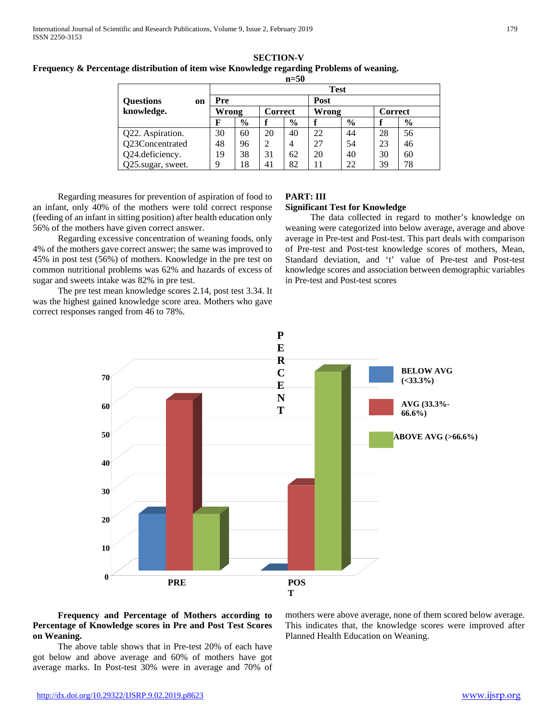#### **SECTION-V Frequency & Percentage distribution of item wise Knowledge regarding Problems of weaning. n=50**

|                        |             | .             |         |               |       |               |                |               |  |  |
|------------------------|-------------|---------------|---------|---------------|-------|---------------|----------------|---------------|--|--|
|                        | <b>Test</b> |               |         |               |       |               |                |               |  |  |
| <b>Questions</b><br>on | Pre         |               |         |               | Post  |               |                |               |  |  |
| knowledge.             | Wrong       |               | Correct |               | Wrong |               | <b>Correct</b> |               |  |  |
|                        | F           | $\frac{0}{0}$ |         | $\frac{0}{0}$ |       | $\frac{6}{9}$ |                | $\frac{6}{9}$ |  |  |
| Q22. Aspiration.       | 30          | 60            | 20      | 40            | 22    | 44            | 28             | 56            |  |  |
| Q23Concentrated        | 48          | 96            |         | 4             | 27    | 54            | 23             | 46            |  |  |
| Q24.deficiency.        | 19          | 38            | 31      | 62            | 20    | 40            | 30             | 60            |  |  |
| Q25.sugar, sweet.      | q           | 18            | 41      | 82            | 11    | 22            | 39             | 78            |  |  |

 Regarding measures for prevention of aspiration of food to an infant, only 40% of the mothers were told correct response (feeding of an infant in sitting position) after health education only 56% of the mothers have given correct answer.

 Regarding excessive concentration of weaning foods, only 4% of the mothers gave correct answer; the same was improved to 45% in post test (56%) of mothers. Knowledge in the pre test on common nutritional problems was 62% and hazards of excess of sugar and sweets intake was 82% in pre test.

 The pre test mean knowledge scores 2.14, post test 3.34. It was the highest gained knowledge score area. Mothers who gave correct responses ranged from 46 to 78%.

# **PART: III**

## **Significant Test for Knowledge**

 The data collected in regard to mother's knowledge on weaning were categorized into below average, average and above average in Pre-test and Post-test. This part deals with comparison of Pre-test and Post-test knowledge scores of mothers, Mean, Standard deviation, and 't' value of Pre-test and Post-test knowledge scores and association between demographic variables in Pre-test and Post-test scores



## **Frequency and Percentage of Mothers according to Percentage of Knowledge scores in Pre and Post Test Scores on Weaning.**

 The above table shows that in Pre-test 20% of each have got below and above average and 60% of mothers have got average marks. In Post-test 30% were in average and 70% of mothers were above average, none of them scored below average. This indicates that, the knowledge scores were improved after Planned Health Education on Weaning.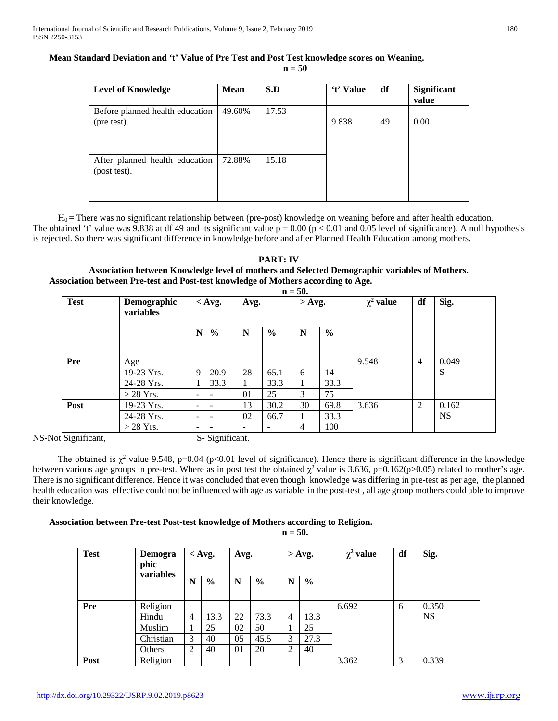# **Mean Standard Deviation and 't' Value of Pre Test and Post Test knowledge scores on Weaning.**

**n = 50**

| <b>Level of Knowledge</b>                      | <b>Mean</b> | S.D   | 't' Value | df | Significant<br>value |
|------------------------------------------------|-------------|-------|-----------|----|----------------------|
| Before planned health education<br>(pre test). | 49.60%      | 17.53 | 9.838     | 49 | 0.00                 |
| After planned health education<br>(post test). | 72.88%      | 15.18 |           |    |                      |

 $H<sub>0</sub>$  = There was no significant relationship between (pre-post) knowledge on weaning before and after health education. The obtained 't' value was 9.838 at df 49 and its significant value  $p = 0.00$  ( $p < 0.01$  and 0.05 level of significance). A null hypothesis is rejected. So there was significant difference in knowledge before and after Planned Health Education among mothers.

# **PART: IV Association between Knowledge level of mothers and Selected Demographic variables of Mothers. Association between Pre-test and Post-test knowledge of Mothers according to Age.**

|             |                          |                          |                              |    |               | $n = 50$ .     |      |       |                |                |    |      |
|-------------|--------------------------|--------------------------|------------------------------|----|---------------|----------------|------|-------|----------------|----------------|----|------|
| <b>Test</b> | Demographic<br>variables |                          | $<$ Avg.                     |    | Avg.          |                |      |       | $>$ Avg.       | $\chi^2$ value | df | Sig. |
|             |                          | $\mathbf N$              | $\frac{6}{6}$                | N  | $\frac{6}{9}$ | N              | $\%$ |       |                |                |    |      |
| Pre         | Age                      |                          |                              |    |               |                |      | 9.548 | $\overline{4}$ | 0.049          |    |      |
|             | 19-23 Yrs.               | 9                        | 20.9                         | 28 | 65.1          | 6              | 14   |       |                | S              |    |      |
|             | 24-28 Yrs.               |                          | 33.3                         | 1  | 33.3          |                | 33.3 |       |                |                |    |      |
|             | $>$ 28 Yrs.              | ÷                        | $\overline{\phantom{a}}$     | 01 | 25            | 3              | 75   |       |                |                |    |      |
| Post        | 19-23 Yrs.               | $\overline{\phantom{0}}$ | $\qquad \qquad \blacksquare$ | 13 | 30.2          | 30             | 69.8 | 3.636 | 2              | 0.162          |    |      |
|             | 24-28 Yrs.               | $\overline{\phantom{0}}$ | $\qquad \qquad \blacksquare$ | 02 | 66.7          |                | 33.3 |       |                | <b>NS</b>      |    |      |
|             | $>$ 28 Yrs.              | $\overline{\phantom{0}}$ |                              |    |               | $\overline{4}$ | 100  |       |                |                |    |      |

NS-Not Significant, S- Significant.

The obtained is  $\chi^2$  value 9.548, p=0.04 (p<0.01 level of significance). Hence there is significant difference in the knowledge between various age groups in pre-test. Where as in post test the obtained  $\chi^2$  value is 3.636, p=0.162(p>0.05) related to mother's age. There is no significant difference. Hence it was concluded that even though knowledge was differing in pre-test as per age, the planned health education was effective could not be influenced with age as variable in the post-test , all age group mothers could able to improve their knowledge.

# **Association between Pre-test Post-test knowledge of Mothers according to Religion.**

**n = 50.**

| <b>Test</b> | <b>Demogra</b><br>phic<br>variables | $<$ Avg.       |               | Avg. |               |                | $>$ Avg. | $\chi^2$ value | df | Sig.      |
|-------------|-------------------------------------|----------------|---------------|------|---------------|----------------|----------|----------------|----|-----------|
|             |                                     | N              | $\frac{6}{6}$ | N    | $\frac{6}{6}$ | $\mathbf N$    | $\%$     |                |    |           |
| Pre         | Religion                            |                |               |      |               |                |          | 6.692          | 6  | 0.350     |
|             | Hindu                               | $\overline{4}$ | 13.3          | 22   | 73.3          | 4              | 13.3     |                |    | <b>NS</b> |
|             | Muslim                              |                | 25            | 02   | 50            |                | 25       |                |    |           |
|             | Christian                           | 3              | 40            | 05   | 45.5          | 3              | 27.3     |                |    |           |
|             | Others                              | 2              | 40            | 01   | 20            | $\overline{2}$ | 40       |                |    |           |
| Post        | Religion                            |                |               |      |               |                |          | 3.362          | 3  | 0.339     |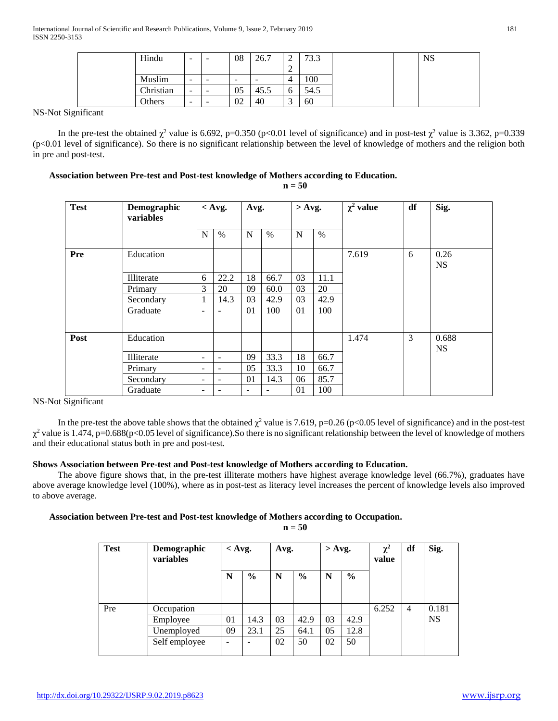| Hindu     | -      | $\overline{\phantom{0}}$ | 08                       | 26.7                     | $\sim$<br>∽ | 73.3 |  | <b>NS</b> |
|-----------|--------|--------------------------|--------------------------|--------------------------|-------------|------|--|-----------|
|           |        |                          |                          |                          | $\sim$<br>∸ |      |  |           |
| Muslim    | -      | $\overline{\phantom{0}}$ | $\overline{\phantom{a}}$ | $\overline{\phantom{a}}$ | 4           | 100  |  |           |
| Christian | $\sim$ | $\overline{\phantom{0}}$ | 05                       | 45.                      | $\sigma$    | 54.5 |  |           |
| Others    | -      | $\overline{\phantom{0}}$ | 02                       | 40                       | $\sim$      | 60   |  |           |

NS-Not Significant

In the pre-test the obtained  $\chi^2$  value is 6.692, p=0.350 (p<0.01 level of significance) and in post-test  $\chi^2$  value is 3.362, p=0.339 (p<0.01 level of significance). So there is no significant relationship between the level of knowledge of mothers and the religion both in pre and post-test.

## **Association between Pre-test and Post-test knowledge of Mothers according to Education.**

**n = 50**

| <b>Test</b> | Demographic<br>variables | $<$ Avg.                 |                          | Avg.                     |                          | $>$ Avg. |      | $\chi^2$ value | df | Sig.               |
|-------------|--------------------------|--------------------------|--------------------------|--------------------------|--------------------------|----------|------|----------------|----|--------------------|
|             |                          | N                        | $\%$                     | N                        | $\%$                     | N        | $\%$ |                |    |                    |
| Pre         | Education                |                          |                          |                          |                          |          |      | 7.619          | 6  | 0.26<br><b>NS</b>  |
|             | Illiterate               | 6                        | 22.2                     | 18                       | 66.7                     | 03       | 11.1 |                |    |                    |
|             | Primary                  | 3                        | 20                       | 09                       | 60.0                     | 03       | 20   |                |    |                    |
|             | Secondary                | 1                        | 14.3                     | 03                       | 42.9                     | 03       | 42.9 |                |    |                    |
|             | Graduate                 | ۰                        | $\overline{\phantom{a}}$ | 01                       | 100                      | 01       | 100  |                |    |                    |
| Post        | Education                |                          |                          |                          |                          |          |      | 1.474          | 3  | 0.688<br><b>NS</b> |
|             | Illiterate               | $\overline{\phantom{a}}$ | $\overline{\phantom{0}}$ | 09                       | 33.3                     | 18       | 66.7 |                |    |                    |
|             | Primary                  | $\overline{\phantom{0}}$ | $\overline{\phantom{a}}$ | 05                       | 33.3                     | 10       | 66.7 |                |    |                    |
|             | Secondary                | ۰                        | $\overline{\phantom{a}}$ | 01                       | 14.3                     | 06       | 85.7 |                |    |                    |
|             | Graduate                 | -                        | $\overline{\phantom{0}}$ | $\overline{\phantom{a}}$ | $\overline{\phantom{0}}$ | 01       | 100  |                |    |                    |

NS-Not Significant

In the pre-test the above table shows that the obtained  $\chi^2$  value is 7.619, p=0.26 (p<0.05 level of significance) and in the post-test  $\chi^2$  value is 1.474, p=0.688(p<0.05 level of significance). So there is no significant relationship between the level of knowledge of mothers and their educational status both in pre and post-test.

## **Shows Association between Pre-test and Post-test knowledge of Mothers according to Education.**

 The above figure shows that, in the pre-test illiterate mothers have highest average knowledge level (66.7%), graduates have above average knowledge level (100%), where as in post-test as literacy level increases the percent of knowledge levels also improved to above average.

### **Association between Pre-test and Post-test knowledge of Mothers according to Occupation.**

**n = 50**

| <b>Test</b> | Demographic<br>variables | $\langle$ Avg.           |               | Avg. |               | $>$ Avg. |               | $\chi^2$<br>value | df             | Sig.      |
|-------------|--------------------------|--------------------------|---------------|------|---------------|----------|---------------|-------------------|----------------|-----------|
|             |                          | N                        | $\frac{6}{6}$ | N    | $\frac{6}{9}$ | N        | $\frac{6}{9}$ |                   |                |           |
| Pre         | Occupation               |                          |               |      |               |          |               | 6.252             | $\overline{4}$ | 0.181     |
|             | Employee                 | 01                       | 14.3          | 03   | 42.9          | 03       | 42.9          |                   |                | <b>NS</b> |
|             | Unemployed               | 09                       | 23.1          | 25   | 64.1          | 05       | 12.8          |                   |                |           |
|             | Self employee            | $\overline{\phantom{0}}$ |               | 02   | 50            | 02       | 50            |                   |                |           |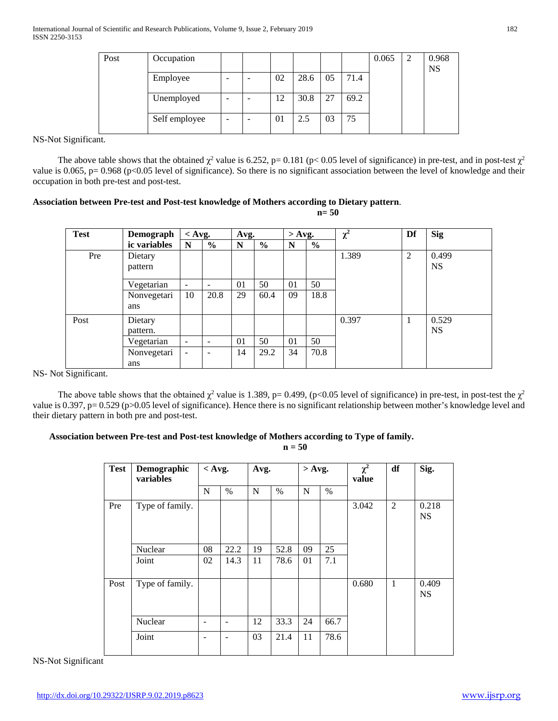| Post | Occupation    |                          |   |    |      |    |      | 0.065 | 2 | 0.968<br><b>NS</b> |
|------|---------------|--------------------------|---|----|------|----|------|-------|---|--------------------|
|      | Employee      | $\overline{\phantom{0}}$ |   | 02 | 28.6 | 05 | 71.4 |       |   |                    |
|      | Unemployed    | -                        |   | 12 | 30.8 | 27 | 69.2 |       |   |                    |
|      | Self employee | -                        | - | 01 | 2.5  | 03 | 75   |       |   |                    |

NS-Not Significant.

The above table shows that the obtained  $\chi^2$  value is 6.252, p= 0.181 (p< 0.05 level of significance) in pre-test, and in post-test  $\chi^2$ value is 0.065, p= 0.968 (p<0.05 level of significance). So there is no significant association between the level of knowledge and their occupation in both pre-test and post-test.

## **Association between Pre-test and Post-test knowledge of Mothers according to Dietary pattern**.

**n= 50**

| <b>Test</b> | Demograph           | $<$ Avg.                 |                          |    | Avg.          |    | $>$ Avg.      | $\chi^2$ | Df             | <b>Sig</b>         |
|-------------|---------------------|--------------------------|--------------------------|----|---------------|----|---------------|----------|----------------|--------------------|
|             | ic variables        | $\mathbf N$              | $\frac{0}{0}$            | N  | $\frac{6}{9}$ | N  | $\frac{0}{0}$ |          |                |                    |
| Pre         | Dietary<br>pattern  |                          |                          |    |               |    |               | 1.389    | $\overline{2}$ | 0.499<br><b>NS</b> |
|             | Vegetarian          | $\overline{\phantom{a}}$ | -                        | 01 | 50            | 01 | 50            |          |                |                    |
|             | Nonvegetari<br>ans  | 10                       | 20.8                     | 29 | 60.4          | 09 | 18.8          |          |                |                    |
| Post        | Dietary<br>pattern. |                          |                          |    |               |    |               | 0.397    | 1              | 0.529<br><b>NS</b> |
|             | Vegetarian          | $\overline{\phantom{a}}$ | $\overline{\phantom{0}}$ | 01 | 50            | 01 | 50            |          |                |                    |
|             | Nonvegetari<br>ans  | ۰                        |                          | 14 | 29.2          | 34 | 70.8          |          |                |                    |

NS- Not Significant.

The above table shows that the obtained  $\chi^2$  value is 1.389, p= 0.499, (p<0.05 level of significance) in pre-test, in post-test the  $\chi^2$ value is 0.397, p= 0.529 (p>0.05 level of significance). Hence there is no significant relationship between mother's knowledge level and their dietary pattern in both pre and post-test.

## **Association between Pre-test and Post-test knowledge of Mothers according to Type of family.**

**n = 50**

| <b>Test</b> | Demographic<br>variables | $<$ Avg. |                   | Avg. |               | $>$ Avg. |      | $\chi^2$<br>value | df             | Sig.               |
|-------------|--------------------------|----------|-------------------|------|---------------|----------|------|-------------------|----------------|--------------------|
|             |                          | N        | $\%$              | N    | $\frac{0}{0}$ | N        | $\%$ |                   |                |                    |
| Pre         | Type of family.          |          |                   |      |               |          |      | 3.042             | $\overline{2}$ | 0.218<br><b>NS</b> |
|             | Nuclear                  | 08       | 22.2              | 19   | 52.8          | 09       | 25   |                   |                |                    |
|             | Joint                    | 02       | 14.3              | 11   | 78.6          | 01       | 7.1  |                   |                |                    |
| Post        | Type of family.          |          |                   |      |               |          |      | 0.680             | $\mathbf{1}$   | 0.409<br><b>NS</b> |
|             | Nuclear                  |          | $\qquad \qquad -$ | 12   | 33.3          | 24       | 66.7 |                   |                |                    |
|             | Joint                    |          | $\qquad \qquad -$ | 03   | 21.4          | 11       | 78.6 |                   |                |                    |

NS-Not Significant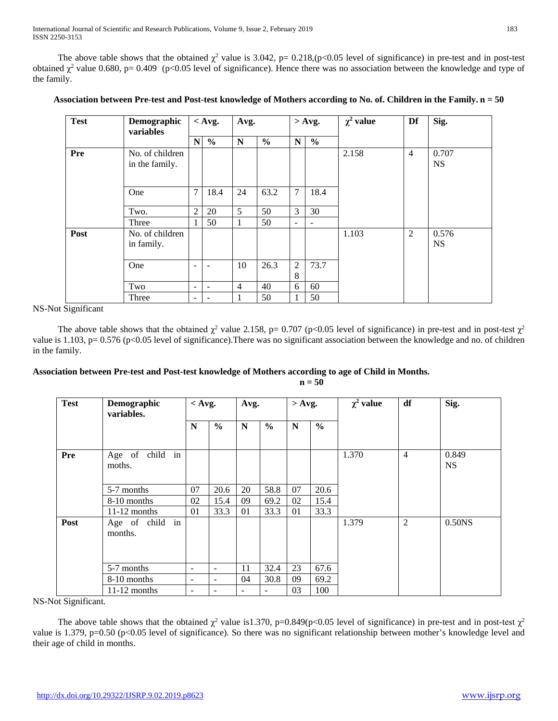The above table shows that the obtained  $\chi^2$  value is 3.042, p= 0.218,(p<0.05 level of significance) in pre-test and in post-test obtained  $\chi^2$  value 0.680, p= 0.409 (p<0.05 level of significance). Hence there was no association between the knowledge and type of the family.

| <b>Test</b> | Demographic<br>variables          |                          | $<$ Avg.                 | Avg.           |               |                     | $>$ Avg.      | $\chi^2$ value | Df             | Sig.               |
|-------------|-----------------------------------|--------------------------|--------------------------|----------------|---------------|---------------------|---------------|----------------|----------------|--------------------|
|             |                                   | N                        | $\frac{0}{0}$            | $\mathbf N$    | $\frac{0}{0}$ | N                   | $\frac{6}{6}$ |                |                |                    |
| Pre         | No. of children<br>in the family. |                          |                          |                |               |                     |               | 2.158          | $\overline{4}$ | 0.707<br><b>NS</b> |
|             | One                               | 7                        | 18.4                     | 24             | 63.2          | $\overline{7}$      | 18.4          |                |                |                    |
|             | Two.                              | $\overline{2}$           | 20                       | 5              | 50            | 3                   | 30            |                |                |                    |
|             | Three                             |                          | 50                       | 1              | 50            | $\blacksquare$      | ۰             |                |                |                    |
| Post        | No. of children<br>in family.     |                          |                          |                |               |                     |               | 1.103          | $\overline{2}$ | 0.576<br><b>NS</b> |
|             | One                               | $\overline{\phantom{0}}$ | ۰                        | 10             | 26.3          | $\overline{2}$<br>8 | 73.7          |                |                |                    |
|             | Two                               | $\overline{\phantom{a}}$ | $\overline{\phantom{a}}$ | $\overline{4}$ | 40            | 6                   | 60            |                |                |                    |
|             | Three                             | $\overline{\phantom{0}}$ | ۰                        | 1              | 50            | 1                   | 50            |                |                |                    |

## **Association between Pre-test and Post-test knowledge of Mothers according to No. of. Children in the Family. n = 50**

NS-Not Significant

The above table shows that the obtained  $\chi^2$  value 2.158, p= 0.707 (p<0.05 level of significance) in pre-test and in post-test  $\chi^2$ value is 1.103, p= 0.576 (p<0.05 level of significance). There was no significant association between the knowledge and no. of children in the family.

# **Association between Pre-test and Post-test knowledge of Mothers according to age of Child in Months.**

**n = 50**

| <b>Test</b> | Demographic<br>variables.  | $<$ Avg.                 |                          | Avg.                     |                | $>$ Avg.    |               | $\chi^2$ value | df             | Sig.               |
|-------------|----------------------------|--------------------------|--------------------------|--------------------------|----------------|-------------|---------------|----------------|----------------|--------------------|
|             |                            | N                        | $\frac{6}{6}$            | N                        | $\frac{6}{9}$  | $\mathbf N$ | $\frac{6}{9}$ |                |                |                    |
| Pre         | Age of child in<br>moths.  |                          |                          |                          |                |             |               | 1.370          | $\overline{4}$ | 0.849<br><b>NS</b> |
|             | 5-7 months                 | 07                       | 20.6                     | 20                       | 58.8           | 07          | 20.6          |                |                |                    |
|             | 8-10 months                | 02                       | 15.4                     | 09                       | 69.2           | 02          | 15.4          |                |                |                    |
|             | $11-12$ months             | 01                       | 33.3                     | 01                       | 33.3           | 01          | 33.3          |                |                |                    |
| Post        | Age of child in<br>months. |                          |                          |                          |                |             |               | 1.379          | $\overline{2}$ | 0.50 <sub>NS</sub> |
|             | 5-7 months                 | $\blacksquare$           | ٠                        | 11                       | 32.4           | 23          | 67.6          |                |                |                    |
|             | 8-10 months                | $\overline{\phantom{a}}$ | $\overline{\phantom{a}}$ | 04                       | 30.8           | 09          | 69.2          |                |                |                    |
|             | $11-12$ months             | $\overline{\phantom{a}}$ | $\overline{\phantom{a}}$ | $\overline{\phantom{a}}$ | $\blacksquare$ | 03          | 100           |                |                |                    |

NS-Not Significant.

The above table shows that the obtained  $\chi^2$  value is1.370, p=0.849(p<0.05 level of significance) in pre-test and in post-test  $\chi^2$ value is 1.379, p=0.50 (p<0.05 level of significance). So there was no significant relationship between mother's knowledge level and their age of child in months.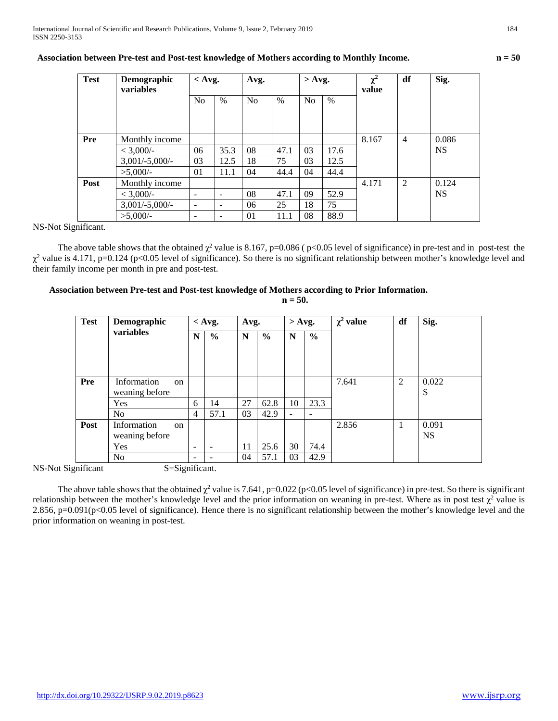## **Association between Pre-test and Post-test knowledge of Mothers according to Monthly Income. n = 50**

| <b>Test</b> | Demographic<br>variables | $<$ Avg.                 |                          | Avg.           |      | $>$ Avg.       |               | $\chi^2$<br>value | df             | Sig.               |
|-------------|--------------------------|--------------------------|--------------------------|----------------|------|----------------|---------------|-------------------|----------------|--------------------|
|             |                          | No                       | $\%$                     | N <sub>0</sub> | $\%$ | N <sub>0</sub> | $\frac{0}{0}$ |                   |                |                    |
|             |                          |                          |                          |                |      |                |               |                   |                |                    |
|             |                          |                          |                          |                |      |                |               |                   |                |                    |
| Pre         | Monthly income           |                          |                          |                |      |                |               | 8.167             | $\overline{4}$ | 0.086<br><b>NS</b> |
|             | < 3,000/                 | 06                       | 35.3                     | 08             | 47.1 | 03             | 17.6          |                   |                |                    |
|             | $3,001/-5,000/-$         | 03                       | 12.5                     | 18             | 75   | 03             | 12.5          |                   |                |                    |
|             | $>5,000/$ -              | 01                       | 11.1                     | 04             | 44.4 | 04             | 44.4          |                   |                |                    |
| Post        | Monthly income           |                          |                          |                |      |                |               | 4.171             | 2              | 0.124              |
|             | < 3,000/                 | $\overline{\phantom{a}}$ | $\overline{\phantom{a}}$ | 08             | 47.1 | 09             | 52.9          |                   |                | <b>NS</b>          |
|             | $3,001/-5,000/-$         |                          | $\overline{\phantom{a}}$ | 06             | 25   | 18             | 75            |                   |                |                    |
|             | $>5.000/-$               | $\qquad \qquad$          | $\overline{\phantom{a}}$ | 01             | 11.1 | 08             | 88.9          |                   |                |                    |

NS-Not Significant.

The above table shows that the obtained  $\chi^2$  value is 8.167, p=0.086 ( p<0.05 level of significance) in pre-test and in post-test the  $\chi^2$  value is 4.171, p=0.124 (p<0.05 level of significance). So there is no significant relationship between mother's knowledge level and their family income per month in pre and post-test.

## **Association between Pre-test and Post-test knowledge of Mothers according to Prior Information.**

**n = 50.**

| <b>Test</b> | Demographic                                                      |                 | $<$ Avg.                 | Avg.        |               | $>$ Avg.                 |                          | $\chi^2$ value | df | Sig.               |
|-------------|------------------------------------------------------------------|-----------------|--------------------------|-------------|---------------|--------------------------|--------------------------|----------------|----|--------------------|
|             | variables                                                        | $\mathbf N$     | $\frac{6}{9}$            | $\mathbf N$ | $\frac{6}{9}$ | N                        | $\frac{6}{6}$            |                |    |                    |
| <b>Pre</b>  | Information<br>$\alpha$<br>weaning before                        |                 |                          |             |               |                          |                          | 7.641          | 2  | 0.022<br>S         |
|             | Yes                                                              | 6               | 14                       | 27          | 62.8          | 10                       | 23.3                     |                |    |                    |
| Post        | N <sub>o</sub><br>Information<br><sub>on</sub><br>weaning before | $\overline{4}$  | 57.1                     | 03          | 42.9          | $\overline{\phantom{a}}$ | $\overline{\phantom{0}}$ | 2.856          |    | 0.091<br><b>NS</b> |
|             | Yes<br>N <sub>o</sub>                                            | -               | $\overline{\phantom{a}}$ | 11          | 25.6          | 30                       | 74.4                     |                |    |                    |
|             |                                                                  | $\qquad \qquad$ | $\overline{\phantom{0}}$ | 04          | 57.1          | 03                       | 42.9                     |                |    |                    |

NS-Not Significant S=Significant.

The above table shows that the obtained  $\chi^2$  value is 7.641, p=0.022 (p<0.05 level of significance) in pre-test. So there is significant relationship between the mother's knowledge level and the prior information on weaning in pre-test. Where as in post test  $\chi^2$  value is 2.856, p=0.091(p<0.05 level of significance). Hence there is no significant relationship between the mother's knowledge level and the prior information on weaning in post-test.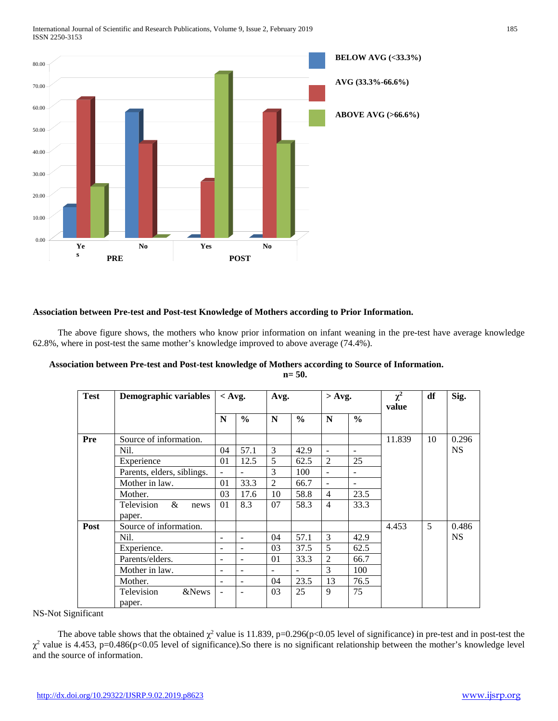International Journal of Scientific and Research Publications, Volume 9, Issue 2, February 2019 185 ISSN 2250-3153



#### **Association between Pre-test and Post-test Knowledge of Mothers according to Prior Information.**

 The above figure shows, the mothers who know prior information on infant weaning in the pre-test have average knowledge 62.8%, where in post-test the same mother's knowledge improved to above average (74.4%).

| Association between Pre-test and Post-test knowledge of Mothers according to Source of Information. |         |
|-----------------------------------------------------------------------------------------------------|---------|
|                                                                                                     | $n=50.$ |

| <b>Test</b> | Demographic variables                | $<$ Avg.                 |                          | Avg.           |               | $>$ Avg.       |               | $\chi^2$<br>value | df | Sig.      |
|-------------|--------------------------------------|--------------------------|--------------------------|----------------|---------------|----------------|---------------|-------------------|----|-----------|
|             |                                      | N                        | $\frac{0}{0}$            | N              | $\frac{6}{9}$ | N              | $\frac{6}{6}$ |                   |    |           |
| Pre         | Source of information.               |                          |                          |                |               |                |               | 11.839            | 10 | 0.296     |
|             | Nil.                                 | 04                       | 57.1                     | 3              | 42.9          | $\blacksquare$ | ۰             |                   |    | <b>NS</b> |
|             | Experience                           | 01                       | 12.5                     | 5              | 62.5          | 2              | 25            |                   |    |           |
|             | Parents, elders, siblings.           | $\overline{\phantom{a}}$ |                          | 3              | 100           | $\blacksquare$ | ۰             |                   |    |           |
|             | Mother in law.                       | 01                       | 33.3                     | $\overline{2}$ | 66.7          | $\overline{a}$ |               |                   |    |           |
|             | Mother.                              | 03                       | 17.6                     | 10             | 58.8          | $\overline{4}$ | 23.5          |                   |    |           |
|             | Television<br>$\&$<br>news<br>paper. | 01                       | 8.3                      | 07             | 58.3          | $\overline{4}$ | 33.3          |                   |    |           |
| Post        | Source of information.               |                          |                          |                |               |                |               | 4.453             | 5  | 0.486     |
|             | Nil.                                 | $\overline{\phantom{a}}$ |                          | 04             | 57.1          | 3              | 42.9          |                   |    | <b>NS</b> |
|             | Experience.                          | $\overline{\phantom{0}}$ | $\blacksquare$           | 03             | 37.5          | 5              | 62.5          |                   |    |           |
|             | Parents/elders.                      | $\overline{\phantom{a}}$ | $\overline{\phantom{a}}$ | 01             | 33.3          | 2              | 66.7          |                   |    |           |
|             | Mother in law.                       | $\overline{\phantom{a}}$ | $\overline{\phantom{a}}$ | $\blacksquare$ |               | 3              | 100           |                   |    |           |
|             | Mother.                              | $\overline{\phantom{a}}$ | $\blacksquare$           | 04             | 23.5          | 13             | 76.5          |                   |    |           |
|             | Television<br>&News<br>paper.        |                          | $\overline{\phantom{a}}$ | 03             | 25            | 9              | 75            |                   |    |           |

NS-Not Significant

The above table shows that the obtained  $\chi^2$  value is 11.839, p=0.296(p<0.05 level of significance) in pre-test and in post-test the  $\chi^2$  value is 4.453, p=0.486(p<0.05 level of significance).So there is no significant relationship between the mother's knowledge level and the source of information.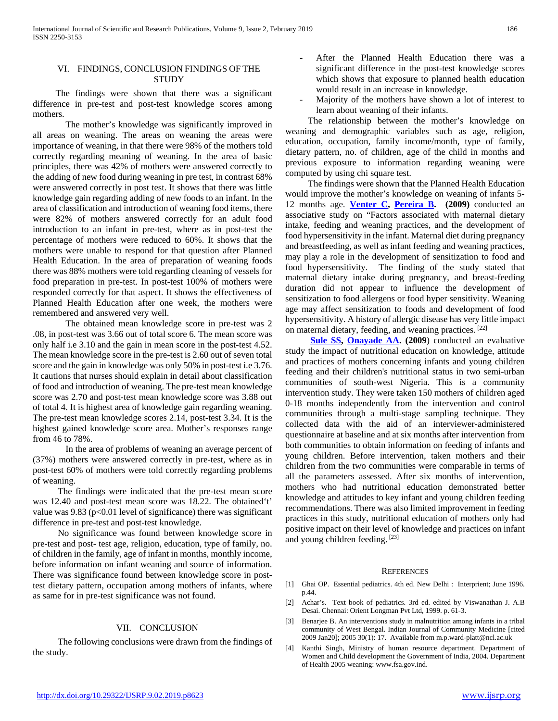## VI. FINDINGS, CONCLUSION FINDINGS OF THE **STUDY**

 The findings were shown that there was a significant difference in pre-test and post-test knowledge scores among mothers.

The mother's knowledge was significantly improved in all areas on weaning. The areas on weaning the areas were importance of weaning, in that there were 98% of the mothers told correctly regarding meaning of weaning. In the area of basic principles, there was 42% of mothers were answered correctly to the adding of new food during weaning in pre test, in contrast 68% were answered correctly in post test. It shows that there was little knowledge gain regarding adding of new foods to an infant. In the area of classification and introduction of weaning food items, there were 82% of mothers answered correctly for an adult food introduction to an infant in pre-test, where as in post-test the percentage of mothers were reduced to 60%. It shows that the mothers were unable to respond for that question after Planned Health Education. In the area of preparation of weaning foods there was 88% mothers were told regarding cleaning of vessels for food preparation in pre-test. In post-test 100% of mothers were responded correctly for that aspect. It shows the effectiveness of Planned Health Education after one week, the mothers were remembered and answered very well.

The obtained mean knowledge score in pre-test was 2 .08, in post-test was 3.66 out of total score 6. The mean score was only half i.e 3.10 and the gain in mean score in the post-test 4.52. The mean knowledge score in the pre-test is 2.60 out of seven total score and the gain in knowledge was only 50% in post-test i.e 3.76. It cautions that nurses should explain in detail about classification of food and introduction of weaning. The pre-test mean knowledge score was 2.70 and post-test mean knowledge score was 3.88 out of total 4. It is highest area of knowledge gain regarding weaning. The pre-test mean knowledge scores 2.14, post-test 3.34. It is the highest gained knowledge score area. Mother's responses range from 46 to 78%.

In the area of problems of weaning an average percent of (37%) mothers were answered correctly in pre-test, where as in post-test 60% of mothers were told correctly regarding problems of weaning.

 The findings were indicated that the pre-test mean score was 12.40 and post-test mean score was 18.22. The obtained't' value was  $9.83$  ( $p<0.01$  level of significance) there was significant difference in pre-test and post-test knowledge.

 No significance was found between knowledge score in pre-test and post- test age, religion, education, type of family, no. of children in the family, age of infant in months, monthly income, before information on infant weaning and source of information. There was significance found between knowledge score in posttest dietary pattern, occupation among mothers of infants, where as same for in pre-test significance was not found.

## VII. CONCLUSION

 The following conclusions were drawn from the findings of the study.

- After the Planned Health Education there was a significant difference in the post-test knowledge scores which shows that exposure to planned health education would result in an increase in knowledge.
- Majority of the mothers have shown a lot of interest to learn about weaning of their infants.

 The relationship between the mother's knowledge on weaning and demographic variables such as age, religion, education, occupation, family income/month, type of family, dietary pattern, no. of children, age of the child in months and previous exposure to information regarding weaning were computed by using chi square test.

 The findings were shown that the Planned Health Education would improve the mother's knowledge on weaning of infants 5- 12 months age. **[Venter C,](http://www.ncbi.nlm.nih.gov/sites/entrez?Db=pubmed&Cmd=Search&Term=%22Venter%20C%22%5BAuthor%5D&itool=EntrezSystem2.PEntrez.Pubmed.Pubmed_ResultsPanel.Pubmed_DiscoveryPanel.Pubmed_RVAbstractPlus) [Pereira B.](http://www.ncbi.nlm.nih.gov/sites/entrez?Db=pubmed&Cmd=Search&Term=%22Pereira%20B%22%5BAuthor%5D&itool=EntrezSystem2.PEntrez.Pubmed.Pubmed_ResultsPanel.Pubmed_DiscoveryPanel.Pubmed_RVAbstractPlus) (2009)** conducted an associative study on "Factors associated with maternal dietary intake, feeding and weaning practices, and the development of food hypersensitivity in the infant. Maternal diet during pregnancy and breastfeeding, as well as infant feeding and weaning practices, may play a role in the development of sensitization to food and food hypersensitivity. The finding of the study stated that maternal dietary intake during pregnancy, and breast-feeding duration did not appear to influence the development of sensitization to food allergens or food hyper sensitivity. Weaning age may affect sensitization to foods and development of food hypersensitivity. A history of allergic disease has very little impact on maternal dietary, feeding, and weaning practices. [22]

 **[Sule SS,](http://www.ncbi.nlm.nih.gov/pubmed?term=%22Sule%20SS%22%5BAuthor%5D) [Onayade AA.](http://www.ncbi.nlm.nih.gov/pubmed?term=%22Onayade%20AA%22%5BAuthor%5D) (2009**) conducted an evaluative study the impact of nutritional education on knowledge, attitude and practices of mothers concerning infants and young children feeding and their children's nutritional status in two semi-urban communities of south-west Nigeria. This is a community intervention study. They were taken 150 mothers of children aged 0-18 months independently from the intervention and control communities through a multi-stage sampling technique. They collected data with the aid of an interviewer-administered questionnaire at baseline and at six months after intervention from both communities to obtain information on feeding of infants and young children. Before intervention, taken mothers and their children from the two communities were comparable in terms of all the parameters assessed. After six months of intervention, mothers who had nutritional education demonstrated better knowledge and attitudes to key infant and young children feeding recommendations. There was also limited improvement in feeding practices in this study, nutritional education of mothers only had positive impact on their level of knowledge and practices on infant and young children feeding. [23]

#### **REFERENCES**

- [1] Ghai OP. Essential pediatrics. 4th ed. New Delhi : Interprient; June 1996. p.44.
- [2] Achar's. Text book of pediatrics. 3rd ed. edited by Viswanathan J. A.B Desai. Chennai: Orient Longman Pvt Ltd, 1999. p. 61-3.
- [3] Benarjee B. An interventions study in malnutrition among infants in a tribal community of West Bengal. Indian Journal of Community Medicine [cited 2009 Jan20]; 2005 30(1): 17. Available from m.p.ward-platt@ncl.ac.uk
- [4] Kanthi Singh, Ministry of human resource department. Department of Women and Child development the Government of India, 2004. Department of Health 2005 weaning: www.fsa.gov.ind.